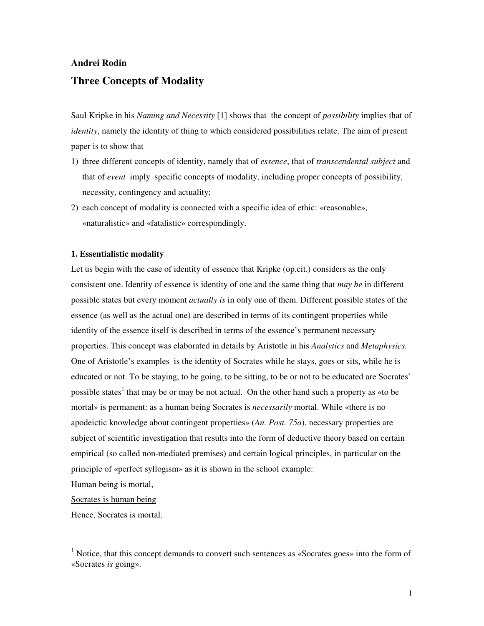## **Andrei Rodin Three Concepts of Modality**

Saul Kripke in his *Naming and Necessity* [1] shows that the concept of *possibility* implies that of *identity*, namely the identity of thing to which considered possibilities relate. The aim of present paper is to show that

- 1) three different concepts of identity, namely that of *essence*, that of *transcendental subject* and that of *event* imply specific concepts of modality, including proper concepts of possibility, necessity, contingency and actuality;
- 2) each concept of modality is connected with a specific idea of ethic: «reasonable», «naturalistic» and «fatalistic» correspondingly.

## **1. Essentialistic modality**

Let us begin with the case of identity of essence that Kripke (op.cit.) considers as the only consistent one. Identity of essence is identity of one and the same thing that *may be* in different possible states but every moment *actually is* in only one of them. Different possible states of the essence (as well as the actual one) are described in terms of its contingent properties while identity of the essence itself is described in terms of the essence's permanent necessary properties. This concept was elaborated in details by Aristotle in his *Analytics* and *Metaphysics.* One of Aristotle's examples is the identity of Socrates while he stays, goes or sits, while he is educated or not. To be staying, to be going, to be sitting, to be or not to be educated are Socrates' possible states<sup>1</sup> that may be or may be not actual. On the other hand such a property as «to be mortal» is permanent: as a human being Socrates is *necessarily* mortal. While «there is no apodeictic knowledge about contingent properties» (*An. Post. 75a*), necessary properties are subject of scientific investigation that results into the form of deductive theory based on certain empirical (so called non-mediated premises) and certain logical principles, in particular on the principle of «perfect syllogism» as it is shown in the school example:

Human being is mortal,

Socrates is human being

Hence, Socrates is mortal.

<sup>&</sup>lt;sup>1</sup> Notice, that this concept demands to convert such sentences as «Socrates goes» into the form of «Socrates *is* going».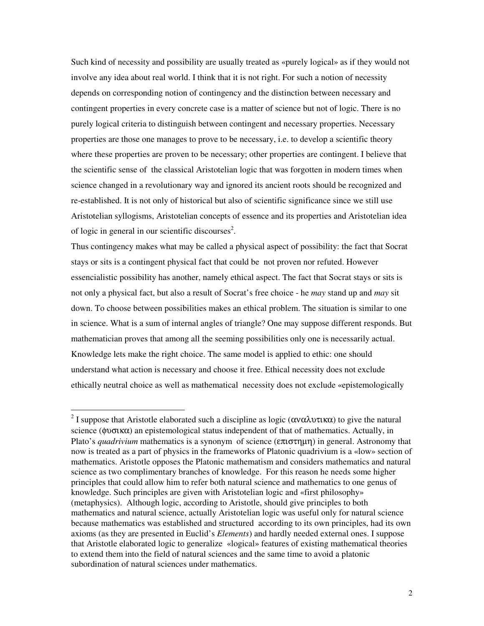Such kind of necessity and possibility are usually treated as «purely logical» as if they would not involve any idea about real world. I think that it is not right. For such a notion of necessity depends on corresponding notion of contingency and the distinction between necessary and contingent properties in every concrete case is a matter of science but not of logic. There is no purely logical criteria to distinguish between contingent and necessary properties. Necessary properties are those one manages to prove to be necessary, i.e. to develop a scientific theory where these properties are proven to be necessary; other properties are contingent. I believe that the scientific sense of the classical Aristotelian logic that was forgotten in modern times when science changed in a revolutionary way and ignored its ancient roots should be recognized and re-established. It is not only of historical but also of scientific significance since we still use Aristotelian syllogisms, Aristotelian concepts of essence and its properties and Aristotelian idea of logic in general in our scientific discourses<sup>2</sup>.

Thus contingency makes what may be called a physical aspect of possibility: the fact that Socrat stays or sits is a contingent physical fact that could be not proven nor refuted. However essencialistic possibility has another, namely ethical aspect. The fact that Socrat stays or sits is not only a physical fact, but also a result of Socrat's free choice - he *may* stand up and *may* sit down. To choose between possibilities makes an ethical problem. The situation is similar to one in science. What is a sum of internal angles of triangle? One may suppose different responds. But mathematician proves that among all the seeming possibilities only one is necessarily actual. Knowledge lets make the right choice. The same model is applied to ethic: one should understand what action is necessary and choose it free. Ethical necessity does not exclude ethically neutral choice as well as mathematical necessity does not exclude «epistemologically

<sup>&</sup>lt;sup>2</sup> I suppose that Aristotle elaborated such a discipline as logic (αναλυτικα) to give the natural science (φυσικα) an epistemological status independent of that of mathematics. Actually, in Plato's *quadrivium* mathematics is a synonym of science (επιστημη) in general. Astronomy that now is treated as a part of physics in the frameworks of Platonic quadrivium is a «low» section of mathematics. Aristotle opposes the Platonic mathematism and considers mathematics and natural science as two complimentary branches of knowledge. For this reason he needs some higher principles that could allow him to refer both natural science and mathematics to one genus of knowledge. Such principles are given with Aristotelian logic and «first philosophy» (metaphysics). Although logic, according to Aristotle, should give principles to both mathematics and natural science, actually Aristotelian logic was useful only for natural science because mathematics was established and structured according to its own principles, had its own axioms (as they are presented in Euclid's *Elements*) and hardly needed external ones. I suppose that Aristotle elaborated logic to generalize «logical» features of existing mathematical theories to extend them into the field of natural sciences and the same time to avoid a platonic subordination of natural sciences under mathematics.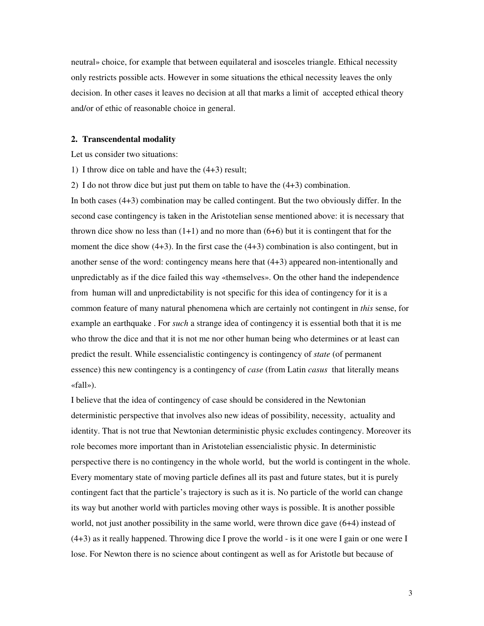neutral» choice, for example that between equilateral and isosceles triangle. Ethical necessity only restricts possible acts. However in some situations the ethical necessity leaves the only decision. In other cases it leaves no decision at all that marks a limit of accepted ethical theory and/or of ethic of reasonable choice in general.

## **2. Transcendental modality**

Let us consider two situations:

1) I throw dice on table and have the (4+3) result;

2) I do not throw dice but just put them on table to have the (4+3) combination.

In both cases (4+3) combination may be called contingent. But the two obviously differ. In the second case contingency is taken in the Aristotelian sense mentioned above: it is necessary that thrown dice show no less than  $(1+1)$  and no more than  $(6+6)$  but it is contingent that for the moment the dice show  $(4+3)$ . In the first case the  $(4+3)$  combination is also contingent, but in another sense of the word: contingency means here that (4+3) appeared non-intentionally and unpredictably as if the dice failed this way «themselves». On the other hand the independence from human will and unpredictability is not specific for this idea of contingency for it is a common feature of many natural phenomena which are certainly not contingent in *this* sense, for example an earthquake . For *such* a strange idea of contingency it is essential both that it is me who throw the dice and that it is not me nor other human being who determines or at least can predict the result. While essencialistic contingency is contingency of *state* (of permanent essence) this new contingency is a contingency of *case* (from Latin *casus* that literally means «fall»).

I believe that the idea of contingency of case should be considered in the Newtonian deterministic perspective that involves also new ideas of possibility, necessity, actuality and identity. That is not true that Newtonian deterministic physic excludes contingency. Moreover its role becomes more important than in Aristotelian essencialistic physic. In deterministic perspective there is no contingency in the whole world, but the world is contingent in the whole. Every momentary state of moving particle defines all its past and future states, but it is purely contingent fact that the particle's trajectory is such as it is. No particle of the world can change its way but another world with particles moving other ways is possible. It is another possible world, not just another possibility in the same world, were thrown dice gave (6+4) instead of (4+3) as it really happened. Throwing dice I prove the world - is it one were I gain or one were I lose. For Newton there is no science about contingent as well as for Aristotle but because of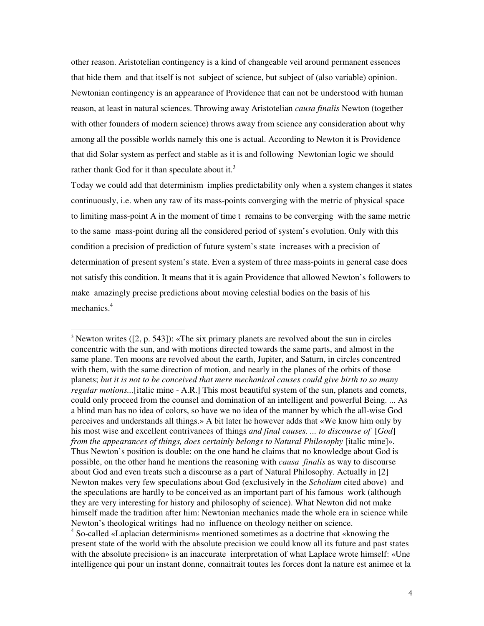other reason. Aristotelian contingency is a kind of changeable veil around permanent essences that hide them and that itself is not subject of science, but subject of (also variable) opinion. Newtonian contingency is an appearance of Providence that can not be understood with human reason, at least in natural sciences. Throwing away Aristotelian *causa finalis* Newton (together with other founders of modern science) throws away from science any consideration about why among all the possible worlds namely this one is actual. According to Newton it is Providence that did Solar system as perfect and stable as it is and following Newtonian logic we should rather thank God for it than speculate about it.<sup>3</sup>

Today we could add that determinism implies predictability only when a system changes it states continuously, i.e. when any raw of its mass-points converging with the metric of physical space to limiting mass-point A in the moment of time t remains to be converging with the same metric to the same mass-point during all the considered period of system's evolution. Only with this condition a precision of prediction of future system's state increases with a precision of determination of present system's state. Even a system of three mass-points in general case does not satisfy this condition. It means that it is again Providence that allowed Newton's followers to make amazingly precise predictions about moving celestial bodies on the basis of his mechanics.<sup>4</sup>

 $3$  Newton writes ([2, p. 543]): «The six primary planets are revolved about the sun in circles concentric with the sun, and with motions directed towards the same parts, and almost in the same plane. Ten moons are revolved about the earth, Jupiter, and Saturn, in circles concentred with them, with the same direction of motion, and nearly in the planes of the orbits of those planets; *but it is not to be conceived that mere mechanical causes could give birth to so many regular motions...*[italic mine - A.R.] This most beautiful system of the sun, planets and comets, could only proceed from the counsel and domination of an intelligent and powerful Being. ... As a blind man has no idea of colors, so have we no idea of the manner by which the all-wise God perceives and understands all things.» A bit later he however adds that «We know him only by his most wise and excellent contrivances of things *and final causes. ... to discourse of* [*God*] *from the appearances of things, does certainly belongs to Natural Philosophy* [italic mine]». Thus Newton's position is double: on the one hand he claims that no knowledge about God is possible, on the other hand he mentions the reasoning with *causa finalis* as way to discourse about God and even treats such a discourse as a part of Natural Philosophy. Actually in [2] Newton makes very few speculations about God (exclusively in the *Scholium* cited above) and the speculations are hardly to be conceived as an important part of his famous work (although they are very interesting for history and philosophy of science). What Newton did not make himself made the tradition after him: Newtonian mechanics made the whole era in science while Newton's theological writings had no influence on theology neither on science.

<sup>4</sup> So-called «Laplacian determinism» mentioned sometimes as a doctrine that «knowing the present state of the world with the absolute precision we could know all its future and past states with the absolute precision» is an inaccurate interpretation of what Laplace wrote himself: «Une intelligence qui pour un instant donne, connaitrait toutes les forces dont la nature est animee et la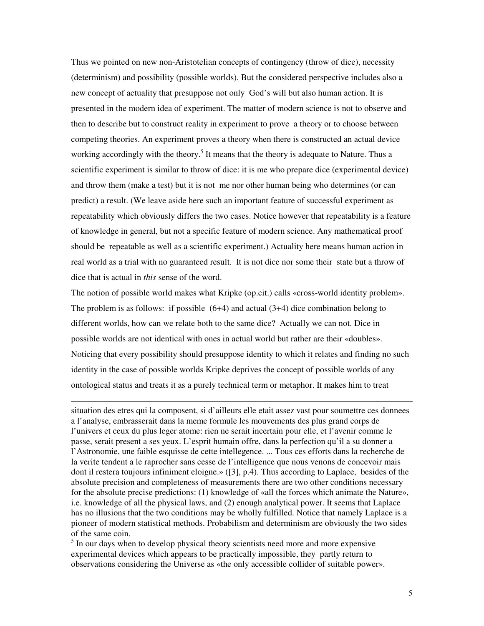Thus we pointed on new non-Aristotelian concepts of contingency (throw of dice), necessity (determinism) and possibility (possible worlds). But the considered perspective includes also a new concept of actuality that presuppose not only God's will but also human action. It is presented in the modern idea of experiment. The matter of modern science is not to observe and then to describe but to construct reality in experiment to prove a theory or to choose between competing theories. An experiment proves a theory when there is constructed an actual device working accordingly with the theory.<sup>5</sup> It means that the theory is adequate to Nature. Thus a scientific experiment is similar to throw of dice: it is me who prepare dice (experimental device) and throw them (make a test) but it is not me nor other human being who determines (or can predict) a result. (We leave aside here such an important feature of successful experiment as repeatability which obviously differs the two cases. Notice however that repeatability is a feature of knowledge in general, but not a specific feature of modern science. Any mathematical proof should be repeatable as well as a scientific experiment.) Actuality here means human action in real world as a trial with no guaranteed result. It is not dice nor some their state but a throw of dice that is actual in *this* sense of the word.

The notion of possible world makes what Kripke (op.cit.) calls «cross-world identity problem». The problem is as follows: if possible (6+4) and actual (3+4) dice combination belong to different worlds, how can we relate both to the same dice? Actually we can not. Dice in possible worlds are not identical with ones in actual world but rather are their «doubles». Noticing that every possibility should presuppose identity to which it relates and finding no such identity in the case of possible worlds Kripke deprives the concept of possible worlds of any ontological status and treats it as a purely technical term or metaphor. It makes him to treat

-

situation des etres qui la composent, si d'ailleurs elle etait assez vast pour soumettre ces donnees a l'analyse, embrasserait dans la meme formule les mouvements des plus grand corps de l'univers et ceux du plus leger atome: rien ne serait incertain pour elle, et l'avenir comme le passe, serait present a ses yeux. L'esprit humain offre, dans la perfection qu'il a su donner a l'Astronomie, une faible esquisse de cette intellegence. ... Tous ces efforts dans la recherche de la verite tendent a le raprocher sans cesse de l'intelligence que nous venons de concevoir mais dont il restera toujours infiniment eloigne.» ([3], p.4). Thus according to Laplace, besides of the absolute precision and completeness of measurements there are two other conditions necessary for the absolute precise predictions: (1) knowledge of «all the forces which animate the Nature», i.e. knowledge of all the physical laws, and (2) enough analytical power. It seems that Laplace has no illusions that the two conditions may be wholly fulfilled. Notice that namely Laplace is a pioneer of modern statistical methods. Probabilism and determinism are obviously the two sides of the same coin.

<sup>5</sup> In our days when to develop physical theory scientists need more and more expensive experimental devices which appears to be practically impossible, they partly return to observations considering the Universe as «the only accessible collider of suitable power».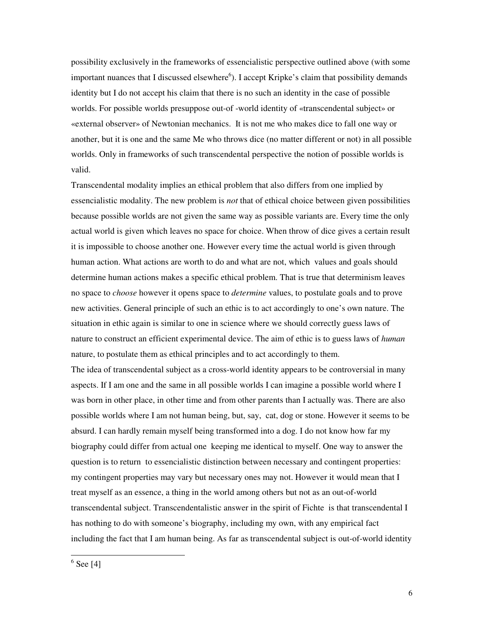possibility exclusively in the frameworks of essencialistic perspective outlined above (with some important nuances that I discussed elsewhere<sup>6</sup>). I accept Kripke's claim that possibility demands identity but I do not accept his claim that there is no such an identity in the case of possible worlds. For possible worlds presuppose out-of -world identity of «transcendental subject» or «external observer» of Newtonian mechanics. It is not me who makes dice to fall one way or another, but it is one and the same Me who throws dice (no matter different or not) in all possible worlds. Only in frameworks of such transcendental perspective the notion of possible worlds is valid.

Transcendental modality implies an ethical problem that also differs from one implied by essencialistic modality. The new problem is *not* that of ethical choice between given possibilities because possible worlds are not given the same way as possible variants are. Every time the only actual world is given which leaves no space for choice. When throw of dice gives a certain result it is impossible to choose another one. However every time the actual world is given through human action. What actions are worth to do and what are not, which values and goals should determine human actions makes a specific ethical problem. That is true that determinism leaves no space to *choose* however it opens space to *determine* values, to postulate goals and to prove new activities. General principle of such an ethic is to act accordingly to one's own nature. The situation in ethic again is similar to one in science where we should correctly guess laws of nature to construct an efficient experimental device. The aim of ethic is to guess laws of *human* nature, to postulate them as ethical principles and to act accordingly to them.

The idea of transcendental subject as a cross-world identity appears to be controversial in many aspects. If I am one and the same in all possible worlds I can imagine a possible world where I was born in other place, in other time and from other parents than I actually was. There are also possible worlds where I am not human being, but, say, cat, dog or stone. However it seems to be absurd. I can hardly remain myself being transformed into a dog. I do not know how far my biography could differ from actual one keeping me identical to myself. One way to answer the question is to return to essencialistic distinction between necessary and contingent properties: my contingent properties may vary but necessary ones may not. However it would mean that I treat myself as an essence, a thing in the world among others but not as an out-of-world transcendental subject. Transcendentalistic answer in the spirit of Fichte is that transcendental I has nothing to do with someone's biography, including my own, with any empirical fact including the fact that I am human being. As far as transcendental subject is out-of-world identity

 $6 \text{ See } [4]$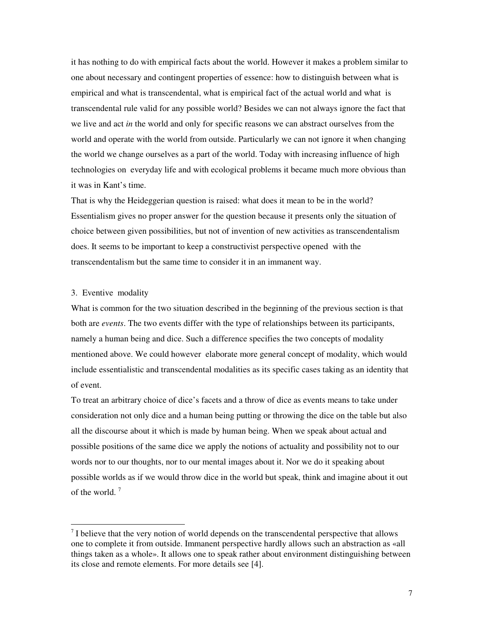it has nothing to do with empirical facts about the world. However it makes a problem similar to one about necessary and contingent properties of essence: how to distinguish between what is empirical and what is transcendental, what is empirical fact of the actual world and what is transcendental rule valid for any possible world? Besides we can not always ignore the fact that we live and act *in* the world and only for specific reasons we can abstract ourselves from the world and operate with the world from outside. Particularly we can not ignore it when changing the world we change ourselves as a part of the world. Today with increasing influence of high technologies on everyday life and with ecological problems it became much more obvious than it was in Kant's time.

That is why the Heideggerian question is raised: what does it mean to be in the world? Essentialism gives no proper answer for the question because it presents only the situation of choice between given possibilities, but not of invention of new activities as transcendentalism does. It seems to be important to keep a constructivist perspective opened with the transcendentalism but the same time to consider it in an immanent way.

## 3. Eventive modality

j

What is common for the two situation described in the beginning of the previous section is that both are *events*. The two events differ with the type of relationships between its participants, namely a human being and dice. Such a difference specifies the two concepts of modality mentioned above. We could however elaborate more general concept of modality, which would include essentialistic and transcendental modalities as its specific cases taking as an identity that of event.

To treat an arbitrary choice of dice's facets and a throw of dice as events means to take under consideration not only dice and a human being putting or throwing the dice on the table but also all the discourse about it which is made by human being. When we speak about actual and possible positions of the same dice we apply the notions of actuality and possibility not to our words nor to our thoughts, nor to our mental images about it. Nor we do it speaking about possible worlds as if we would throw dice in the world but speak, think and imagine about it out of the world.<sup>7</sup>

 $<sup>7</sup>$  I believe that the very notion of world depends on the transcendental perspective that allows</sup> one to complete it from outside. Immanent perspective hardly allows such an abstraction as «all things taken as a whole». It allows one to speak rather about environment distinguishing between its close and remote elements. For more details see [4].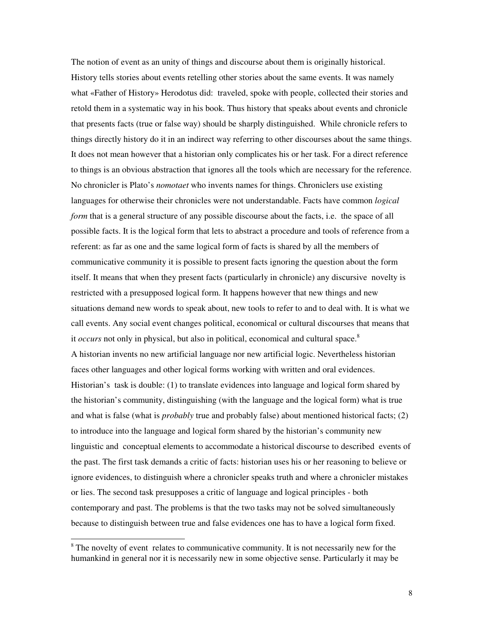The notion of event as an unity of things and discourse about them is originally historical. History tells stories about events retelling other stories about the same events. It was namely what «Father of History» Herodotus did: traveled, spoke with people, collected their stories and retold them in a systematic way in his book. Thus history that speaks about events and chronicle that presents facts (true or false way) should be sharply distinguished. While chronicle refers to things directly history do it in an indirect way referring to other discourses about the same things. It does not mean however that a historian only complicates his or her task. For a direct reference to things is an obvious abstraction that ignores all the tools which are necessary for the reference. No chronicler is Plato's *nomotaet* who invents names for things. Chroniclers use existing languages for otherwise their chronicles were not understandable. Facts have common *logical form* that is a general structure of any possible discourse about the facts, i.e. the space of all possible facts. It is the logical form that lets to abstract a procedure and tools of reference from a referent: as far as one and the same logical form of facts is shared by all the members of communicative community it is possible to present facts ignoring the question about the form itself. It means that when they present facts (particularly in chronicle) any discursive novelty is restricted with a presupposed logical form. It happens however that new things and new situations demand new words to speak about, new tools to refer to and to deal with. It is what we call events. Any social event changes political, economical or cultural discourses that means that it *occurs* not only in physical, but also in political, economical and cultural space.<sup>8</sup> A historian invents no new artificial language nor new artificial logic. Nevertheless historian faces other languages and other logical forms working with written and oral evidences. Historian's task is double: (1) to translate evidences into language and logical form shared by the historian's community, distinguishing (with the language and the logical form) what is true and what is false (what is *probably* true and probably false) about mentioned historical facts; (2) to introduce into the language and logical form shared by the historian's community new linguistic and conceptual elements to accommodate a historical discourse to described events of the past. The first task demands a critic of facts: historian uses his or her reasoning to believe or ignore evidences, to distinguish where a chronicler speaks truth and where a chronicler mistakes or lies. The second task presupposes a critic of language and logical principles - both contemporary and past. The problems is that the two tasks may not be solved simultaneously because to distinguish between true and false evidences one has to have a logical form fixed.

<sup>&</sup>lt;sup>8</sup> The novelty of event relates to communicative community. It is not necessarily new for the humankind in general nor it is necessarily new in some objective sense. Particularly it may be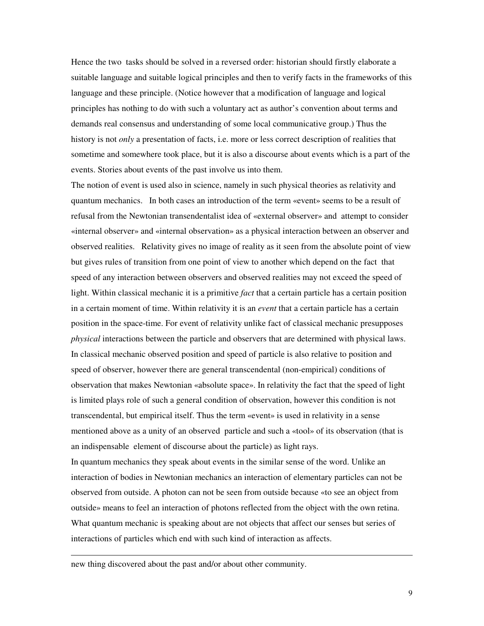Hence the two tasks should be solved in a reversed order: historian should firstly elaborate a suitable language and suitable logical principles and then to verify facts in the frameworks of this language and these principle. (Notice however that a modification of language and logical principles has nothing to do with such a voluntary act as author's convention about terms and demands real consensus and understanding of some local communicative group.) Thus the history is not *only* a presentation of facts, i.e. more or less correct description of realities that sometime and somewhere took place, but it is also a discourse about events which is a part of the events. Stories about events of the past involve us into them.

The notion of event is used also in science, namely in such physical theories as relativity and quantum mechanics. In both cases an introduction of the term «event» seems to be a result of refusal from the Newtonian transendentalist idea of «external observer» and attempt to consider «internal observer» and «internal observation» as a physical interaction between an observer and observed realities. Relativity gives no image of reality as it seen from the absolute point of view but gives rules of transition from one point of view to another which depend on the fact that speed of any interaction between observers and observed realities may not exceed the speed of light. Within classical mechanic it is a primitive *fact* that a certain particle has a certain position in a certain moment of time. Within relativity it is an *event* that a certain particle has a certain position in the space-time. For event of relativity unlike fact of classical mechanic presupposes *physical* interactions between the particle and observers that are determined with physical laws. In classical mechanic observed position and speed of particle is also relative to position and speed of observer, however there are general transcendental (non-empirical) conditions of observation that makes Newtonian «absolute space». In relativity the fact that the speed of light is limited plays role of such a general condition of observation, however this condition is not transcendental, but empirical itself. Thus the term «event» is used in relativity in a sense mentioned above as a unity of an observed particle and such a «tool» of its observation (that is an indispensable element of discourse about the particle) as light rays.

In quantum mechanics they speak about events in the similar sense of the word. Unlike an interaction of bodies in Newtonian mechanics an interaction of elementary particles can not be observed from outside. A photon can not be seen from outside because «to see an object from outside» means to feel an interaction of photons reflected from the object with the own retina. What quantum mechanic is speaking about are not objects that affect our senses but series of interactions of particles which end with such kind of interaction as affects.

new thing discovered about the past and/or about other community.

-

9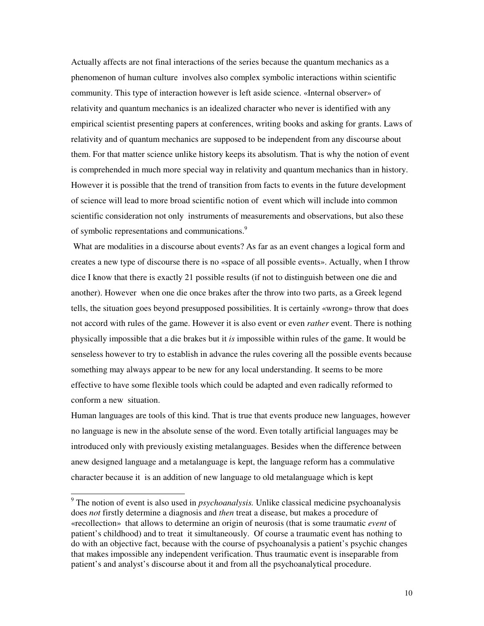Actually affects are not final interactions of the series because the quantum mechanics as a phenomenon of human culture involves also complex symbolic interactions within scientific community. This type of interaction however is left aside science. «Internal observer» of relativity and quantum mechanics is an idealized character who never is identified with any empirical scientist presenting papers at conferences, writing books and asking for grants. Laws of relativity and of quantum mechanics are supposed to be independent from any discourse about them. For that matter science unlike history keeps its absolutism. That is why the notion of event is comprehended in much more special way in relativity and quantum mechanics than in history. However it is possible that the trend of transition from facts to events in the future development of science will lead to more broad scientific notion of event which will include into common scientific consideration not only instruments of measurements and observations, but also these of symbolic representations and communications.<sup>9</sup>

What are modalities in a discourse about events? As far as an event changes a logical form and creates a new type of discourse there is no «space of all possible events». Actually, when I throw dice I know that there is exactly 21 possible results (if not to distinguish between one die and another). However when one die once brakes after the throw into two parts, as a Greek legend tells, the situation goes beyond presupposed possibilities. It is certainly «wrong» throw that does not accord with rules of the game. However it is also event or even *rather* event. There is nothing physically impossible that a die brakes but it *is* impossible within rules of the game. It would be senseless however to try to establish in advance the rules covering all the possible events because something may always appear to be new for any local understanding. It seems to be more effective to have some flexible tools which could be adapted and even radically reformed to conform a new situation.

Human languages are tools of this kind. That is true that events produce new languages, however no language is new in the absolute sense of the word. Even totally artificial languages may be introduced only with previously existing metalanguages. Besides when the difference between anew designed language and a metalanguage is kept, the language reform has a commulative character because it is an addition of new language to old metalanguage which is kept

<sup>9</sup> The notion of event is also used in *psychoanalysis.* Unlike classical medicine psychoanalysis does *not* firstly determine a diagnosis and *then* treat a disease, but makes a procedure of «recollection» that allows to determine an origin of neurosis (that is some traumatic *event* of patient's childhood) and to treat it simultaneously. Of course a traumatic event has nothing to do with an objective fact, because with the course of psychoanalysis a patient's psychic changes that makes impossible any independent verification. Thus traumatic event is inseparable from patient's and analyst's discourse about it and from all the psychoanalytical procedure.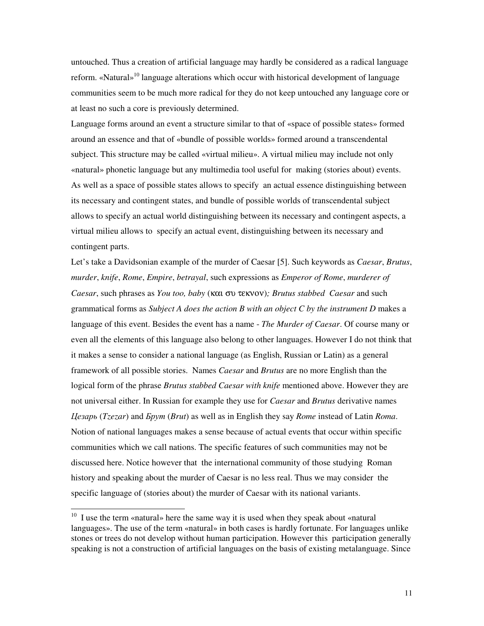untouched. Thus a creation of artificial language may hardly be considered as a radical language reform. «Natural»<sup>10</sup> language alterations which occur with historical development of language communities seem to be much more radical for they do not keep untouched any language core or at least no such a core is previously determined.

Language forms around an event a structure similar to that of «space of possible states» formed around an essence and that of «bundle of possible worlds» formed around a transcendental subject. This structure may be called «virtual milieu». A virtual milieu may include not only «natural» phonetic language but any multimedia tool useful for making (stories about) events. As well as a space of possible states allows to specify an actual essence distinguishing between its necessary and contingent states, and bundle of possible worlds of transcendental subject allows to specify an actual world distinguishing between its necessary and contingent aspects, a virtual milieu allows to specify an actual event, distinguishing between its necessary and contingent parts.

Let's take a Davidsonian example of the murder of Caesar [5]. Such keywords as *Caesar*, *Brutus*, *murder*, *knife*, *Rome*, *Empire*, *betrayal*, such expressions as *Emperor of Rome*, *murderer of Caesar*, such phrases as *You too, baby* (και συ τεκνον)*; Brutus stabbed Caesar* and such grammatical forms as *Subject A does the action B with an object C by the instrument D* makes a language of this event. Besides the event has a name - *The Murder of Caesar*. Of course many or even all the elements of this language also belong to other languages. However I do not think that it makes a sense to consider a national language (as English, Russian or Latin) as a general framework of all possible stories. Names *Caesar* and *Brutus* are no more English than the logical form of the phrase *Brutus stabbed Caesar with knife* mentioned above. However they are not universal either. In Russian for example they use for *Caesar* and *Brutus* derivative names Цезарь (*Tzezar*) and Брут (*Brut*) as well as in English they say *Rome* instead of Latin *Roma*. Notion of national languages makes a sense because of actual events that occur within specific communities which we call nations. The specific features of such communities may not be discussed here. Notice however that the international community of those studying Roman history and speaking about the murder of Caesar is no less real. Thus we may consider the specific language of (stories about) the murder of Caesar with its national variants.

 $10$  I use the term «natural» here the same way it is used when they speak about «natural languages». The use of the term «natural» in both cases is hardly fortunate. For languages unlike stones or trees do not develop without human participation. However this participation generally speaking is not a construction of artificial languages on the basis of existing metalanguage. Since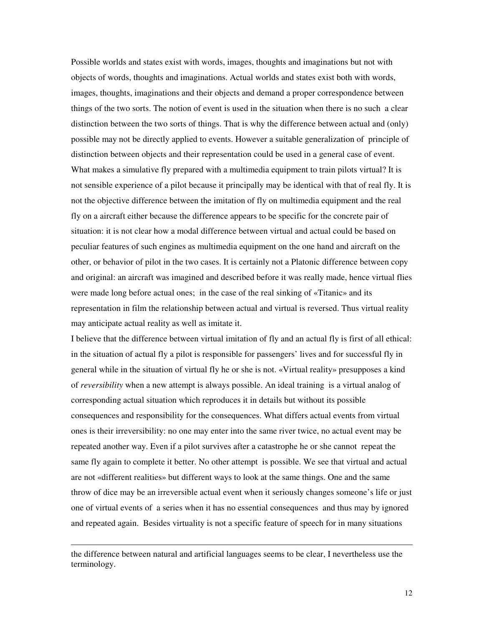Possible worlds and states exist with words, images, thoughts and imaginations but not with objects of words, thoughts and imaginations. Actual worlds and states exist both with words, images, thoughts, imaginations and their objects and demand a proper correspondence between things of the two sorts. The notion of event is used in the situation when there is no such a clear distinction between the two sorts of things. That is why the difference between actual and (only) possible may not be directly applied to events. However a suitable generalization of principle of distinction between objects and their representation could be used in a general case of event. What makes a simulative fly prepared with a multimedia equipment to train pilots virtual? It is not sensible experience of a pilot because it principally may be identical with that of real fly. It is not the objective difference between the imitation of fly on multimedia equipment and the real fly on a aircraft either because the difference appears to be specific for the concrete pair of situation: it is not clear how a modal difference between virtual and actual could be based on peculiar features of such engines as multimedia equipment on the one hand and aircraft on the other, or behavior of pilot in the two cases. It is certainly not a Platonic difference between copy and original: an aircraft was imagined and described before it was really made, hence virtual flies were made long before actual ones; in the case of the real sinking of «Titanic» and its representation in film the relationship between actual and virtual is reversed. Thus virtual reality may anticipate actual reality as well as imitate it.

I believe that the difference between virtual imitation of fly and an actual fly is first of all ethical: in the situation of actual fly a pilot is responsible for passengers' lives and for successful fly in general while in the situation of virtual fly he or she is not. «Virtual reality» presupposes a kind of *reversibility* when a new attempt is always possible. An ideal training is a virtual analog of corresponding actual situation which reproduces it in details but without its possible consequences and responsibility for the consequences. What differs actual events from virtual ones is their irreversibility: no one may enter into the same river twice, no actual event may be repeated another way. Even if a pilot survives after a catastrophe he or she cannot repeat the same fly again to complete it better. No other attempt is possible. We see that virtual and actual are not «different realities» but different ways to look at the same things. One and the same throw of dice may be an irreversible actual event when it seriously changes someone's life or just one of virtual events of a series when it has no essential consequences and thus may by ignored and repeated again. Besides virtuality is not a specific feature of speech for in many situations

the difference between natural and artificial languages seems to be clear, I nevertheless use the terminology.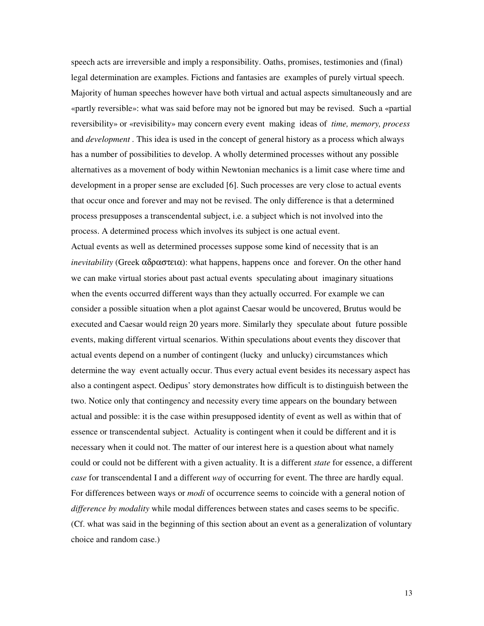speech acts are irreversible and imply a responsibility. Oaths, promises, testimonies and (final) legal determination are examples. Fictions and fantasies are examples of purely virtual speech. Majority of human speeches however have both virtual and actual aspects simultaneously and are «partly reversible»: what was said before may not be ignored but may be revised. Such a «partial reversibility» or «revisibility» may concern every event making ideas of *time, memory, process*  and *development .* This idea is used in the concept of general history as a process which always has a number of possibilities to develop. A wholly determined processes without any possible alternatives as a movement of body within Newtonian mechanics is a limit case where time and development in a proper sense are excluded [6]. Such processes are very close to actual events that occur once and forever and may not be revised. The only difference is that a determined process presupposes a transcendental subject, i.e. a subject which is not involved into the process. A determined process which involves its subject is one actual event. Actual events as well as determined processes suppose some kind of necessity that is an *inevitability* (Greek  $\alpha\delta\rho\alpha\sigma\tau\epsilon\alpha$ ): what happens, happens once and forever. On the other hand we can make virtual stories about past actual events speculating about imaginary situations when the events occurred different ways than they actually occurred. For example we can consider a possible situation when a plot against Caesar would be uncovered, Brutus would be executed and Caesar would reign 20 years more. Similarly they speculate about future possible events, making different virtual scenarios. Within speculations about events they discover that actual events depend on a number of contingent (lucky and unlucky) circumstances which determine the way event actually occur. Thus every actual event besides its necessary aspect has also a contingent aspect. Oedipus' story demonstrates how difficult is to distinguish between the two. Notice only that contingency and necessity every time appears on the boundary between actual and possible: it is the case within presupposed identity of event as well as within that of essence or transcendental subject. Actuality is contingent when it could be different and it is necessary when it could not. The matter of our interest here is a question about what namely could or could not be different with a given actuality. It is a different *state* for essence, a different *case* for transcendental I and a different *way* of occurring for event. The three are hardly equal. For differences between ways or *modi* of occurrence seems to coincide with a general notion of *difference by modality* while modal differences between states and cases seems to be specific. (Cf. what was said in the beginning of this section about an event as a generalization of voluntary choice and random case.)

13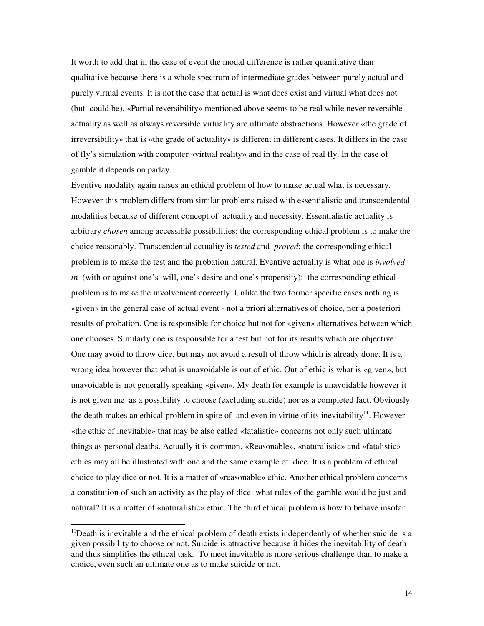It worth to add that in the case of event the modal difference is rather quantitative than qualitative because there is a whole spectrum of intermediate grades between purely actual and purely virtual events. It is not the case that actual is what does exist and virtual what does not (but could be). «Partial reversibility» mentioned above seems to be real while never reversible actuality as well as always reversible virtuality are ultimate abstractions. However «the grade of irreversibility» that is «the grade of actuality» is different in different cases. It differs in the case of fly's simulation with computer «virtual reality» and in the case of real fly. In the case of gamble it depends on parlay.

Eventive modality again raises an ethical problem of how to make actual what is necessary. However this problem differs from similar problems raised with essentialistic and transcendental modalities because of different concept of actuality and necessity. Essentialistic actuality is arbitrary *chosen* among accessible possibilities; the corresponding ethical problem is to make the choice reasonably. Transcendental actuality is *tested* and *proved*; the corresponding ethical problem is to make the test and the probation natural. Eventive actuality is what one is *involved in* (with or against one's will, one's desire and one's propensity); the corresponding ethical problem is to make the involvement correctly. Unlike the two former specific cases nothing is «given» in the general case of actual event - not a priori alternatives of choice, nor a posteriori results of probation. One is responsible for choice but not for «given» alternatives between which one chooses. Similarly one is responsible for a test but not for its results which are objective. One may avoid to throw dice, but may not avoid a result of throw which is already done. It is a wrong idea however that what is unavoidable is out of ethic. Out of ethic is what is «given», but unavoidable is not generally speaking «given». My death for example is unavoidable however it is not given me as a possibility to choose (excluding suicide) nor as a completed fact. Obviously the death makes an ethical problem in spite of and even in virtue of its inevitability $1^1$ . However «the ethic of inevitable» that may be also called «fatalistic» concerns not only such ultimate things as personal deaths. Actually it is common. «Reasonable», «naturalistic» and «fatalistic» ethics may all be illustrated with one and the same example of dice. It is a problem of ethical choice to play dice or not. It is a matter of «reasonable» ethic. Another ethical problem concerns a constitution of such an activity as the play of dice: what rules of the gamble would be just and natural? It is a matter of «naturalistic» ethic. The third ethical problem is how to behave insofar

 $<sup>11</sup>$ Death is inevitable and the ethical problem of death exists independently of whether suicide is a</sup> given possibility to choose or not. Suicide is attractive because it hides the inevitability of death and thus simplifies the ethical task. To meet inevitable is more serious challenge than to make a choice, even such an ultimate one as to make suicide or not.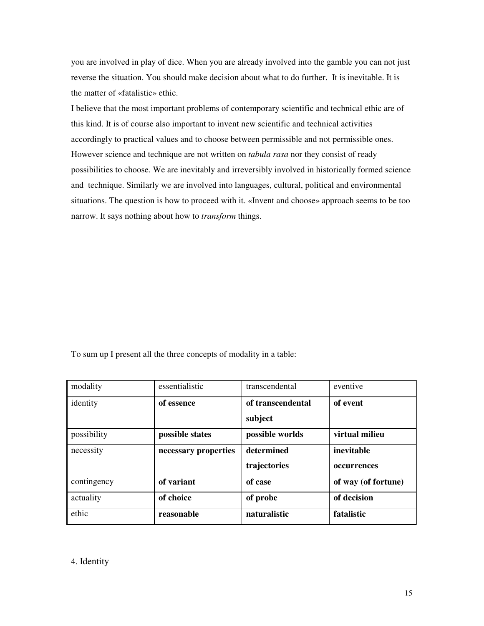you are involved in play of dice. When you are already involved into the gamble you can not just reverse the situation. You should make decision about what to do further. It is inevitable. It is the matter of «fatalistic» ethic.

I believe that the most important problems of contemporary scientific and technical ethic are of this kind. It is of course also important to invent new scientific and technical activities accordingly to practical values and to choose between permissible and not permissible ones. However science and technique are not written on *tabula rasa* nor they consist of ready possibilities to choose. We are inevitably and irreversibly involved in historically formed science and technique. Similarly we are involved into languages, cultural, political and environmental situations. The question is how to proceed with it. «Invent and choose» approach seems to be too narrow. It says nothing about how to *transform* things.

To sum up I present all the three concepts of modality in a table:

| modality    | essentialistic       | transcendental    | eventive            |
|-------------|----------------------|-------------------|---------------------|
| identity    | of essence           | of transcendental | of event            |
|             |                      | subject           |                     |
| possibility | possible states      | possible worlds   | virtual milieu      |
| necessity   | necessary properties | determined        | inevitable          |
|             |                      | trajectories      | <b>occurrences</b>  |
| contingency | of variant           | of case           | of way (of fortune) |
| actuality   | of choice            | of probe          | of decision         |
| ethic       | reasonable           | naturalistic      | fatalistic          |

4. Identity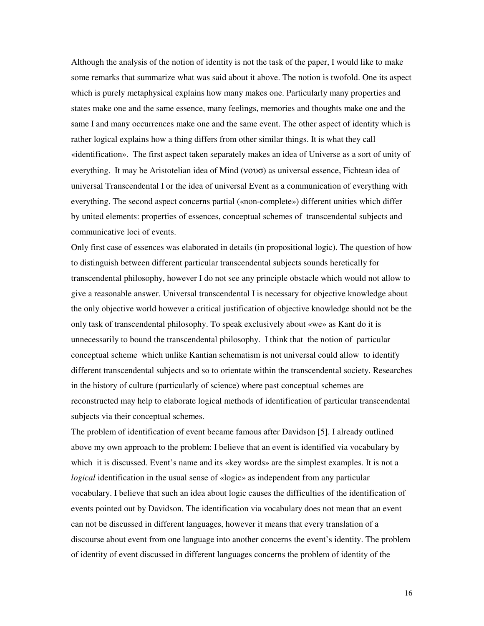Although the analysis of the notion of identity is not the task of the paper, I would like to make some remarks that summarize what was said about it above. The notion is twofold. One its aspect which is purely metaphysical explains how many makes one. Particularly many properties and states make one and the same essence, many feelings, memories and thoughts make one and the same I and many occurrences make one and the same event. The other aspect of identity which is rather logical explains how a thing differs from other similar things. It is what they call «identification». The first aspect taken separately makes an idea of Universe as a sort of unity of everything. It may be Aristotelian idea of Mind (νουσ) as universal essence, Fichtean idea of universal Transcendental I or the idea of universal Event as a communication of everything with everything. The second aspect concerns partial («non-complete») different unities which differ by united elements: properties of essences, conceptual schemes of transcendental subjects and communicative loci of events.

Only first case of essences was elaborated in details (in propositional logic). The question of how to distinguish between different particular transcendental subjects sounds heretically for transcendental philosophy, however I do not see any principle obstacle which would not allow to give a reasonable answer. Universal transcendental I is necessary for objective knowledge about the only objective world however a critical justification of objective knowledge should not be the only task of transcendental philosophy. To speak exclusively about «we» as Kant do it is unnecessarily to bound the transcendental philosophy. I think that the notion of particular conceptual scheme which unlike Kantian schematism is not universal could allow to identify different transcendental subjects and so to orientate within the transcendental society. Researches in the history of culture (particularly of science) where past conceptual schemes are reconstructed may help to elaborate logical methods of identification of particular transcendental subjects via their conceptual schemes.

The problem of identification of event became famous after Davidson [5]. I already outlined above my own approach to the problem: I believe that an event is identified via vocabulary by which it is discussed. Event's name and its «key words» are the simplest examples. It is not a *logical* identification in the usual sense of «logic» as independent from any particular vocabulary. I believe that such an idea about logic causes the difficulties of the identification of events pointed out by Davidson. The identification via vocabulary does not mean that an event can not be discussed in different languages, however it means that every translation of a discourse about event from one language into another concerns the event's identity. The problem of identity of event discussed in different languages concerns the problem of identity of the

16